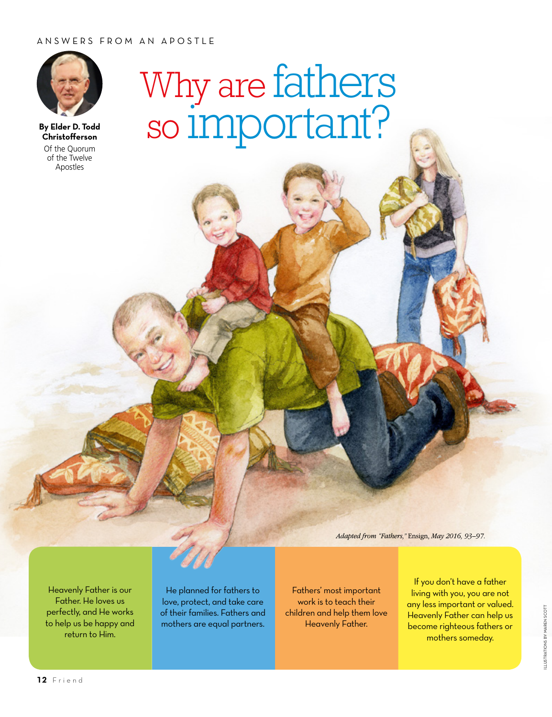## ANSWERS FROM AN APOSTLE



**By Elder D. Todd Christofferson** Of the Quorum of the Twelve Apostles

## Why are fathers so important?

*Adapted from "Fathers,"* Ensign, *May 2016, 93–97.*

Heavenly Father is our Father. He loves us perfectly, and He works to help us be happy and return to Him.

He planned for fathers to love, protect, and take care of their families. Fathers and mothers are equal partners.

Fathers' most important work is to teach their children and help them love Heavenly Father.

If you don't have a father living with you, you are not any less important or valued. Heavenly Father can help us become righteous fathers or mothers someday.